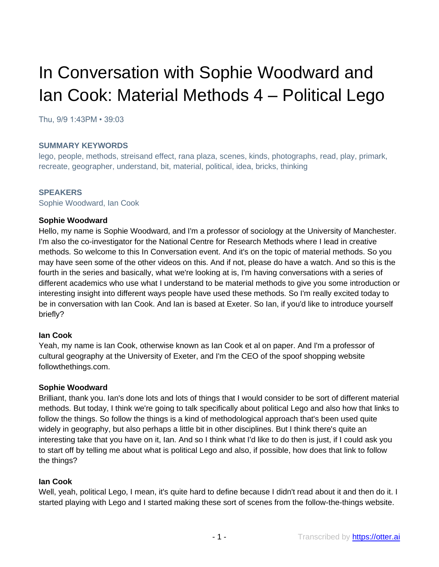# In Conversation with Sophie Woodward and Ian Cook: Material Methods 4 – Political Lego

Thu, 9/9 1:43PM • 39:03

#### **SUMMARY KEYWORDS**

lego, people, methods, streisand effect, rana plaza, scenes, kinds, photographs, read, play, primark, recreate, geographer, understand, bit, material, political, idea, bricks, thinking

#### **SPEAKERS**

Sophie Woodward, Ian Cook

#### **Sophie Woodward**

Hello, my name is Sophie Woodward, and I'm a professor of sociology at the University of Manchester. I'm also the co-investigator for the National Centre for Research Methods where I lead in creative methods. So welcome to this In Conversation event. And it's on the topic of material methods. So you may have seen some of the other videos on this. And if not, please do have a watch. And so this is the fourth in the series and basically, what we're looking at is, I'm having conversations with a series of different academics who use what I understand to be material methods to give you some introduction or interesting insight into different ways people have used these methods. So I'm really excited today to be in conversation with Ian Cook. And Ian is based at Exeter. So Ian, if you'd like to introduce yourself briefly?

## **Ian Cook**

Yeah, my name is Ian Cook, otherwise known as Ian Cook et al on paper. And I'm a professor of cultural geography at the University of Exeter, and I'm the CEO of the spoof shopping website followthethings.com.

#### **Sophie Woodward**

Brilliant, thank you. Ian's done lots and lots of things that I would consider to be sort of different material methods. But today, I think we're going to talk specifically about political Lego and also how that links to follow the things. So follow the things is a kind of methodological approach that's been used quite widely in geography, but also perhaps a little bit in other disciplines. But I think there's quite an interesting take that you have on it, Ian. And so I think what I'd like to do then is just, if I could ask you to start off by telling me about what is political Lego and also, if possible, how does that link to follow the things?

#### **Ian Cook**

Well, yeah, political Lego, I mean, it's quite hard to define because I didn't read about it and then do it. I started playing with Lego and I started making these sort of scenes from the follow-the-things website.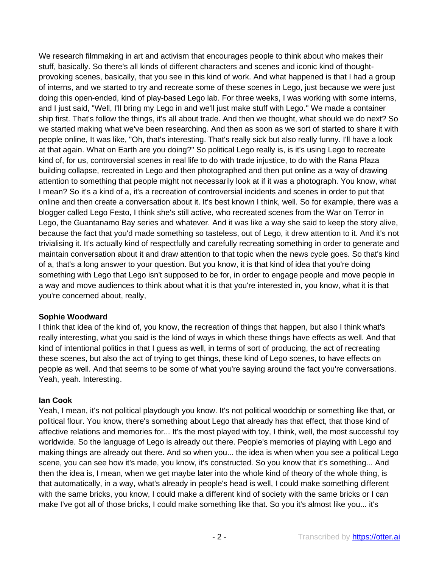We research filmmaking in art and activism that encourages people to think about who makes their stuff, basically. So there's all kinds of different characters and scenes and iconic kind of thoughtprovoking scenes, basically, that you see in this kind of work. And what happened is that I had a group of interns, and we started to try and recreate some of these scenes in Lego, just because we were just doing this open-ended, kind of play-based Lego lab. For three weeks, I was working with some interns, and I just said, "Well, I'll bring my Lego in and we'll just make stuff with Lego." We made a container ship first. That's follow the things, it's all about trade. And then we thought, what should we do next? So we started making what we've been researching. And then as soon as we sort of started to share it with people online, It was like, "Oh, that's interesting. That's really sick but also really funny. I'll have a look at that again. What on Earth are you doing?" So political Lego really is, is it's using Lego to recreate kind of, for us, controversial scenes in real life to do with trade injustice, to do with the Rana Plaza building collapse, recreated in Lego and then photographed and then put online as a way of drawing attention to something that people might not necessarily look at if it was a photograph. You know, what I mean? So it's a kind of a, it's a recreation of controversial incidents and scenes in order to put that online and then create a conversation about it. It's best known I think, well. So for example, there was a blogger called Lego Festo, I think she's still active, who recreated scenes from the War on Terror in Lego, the Guantanamo Bay series and whatever. And it was like a way she said to keep the story alive, because the fact that you'd made something so tasteless, out of Lego, it drew attention to it. And it's not trivialising it. It's actually kind of respectfully and carefully recreating something in order to generate and maintain conversation about it and draw attention to that topic when the news cycle goes. So that's kind of a, that's a long answer to your question. But you know, it is that kind of idea that you're doing something with Lego that Lego isn't supposed to be for, in order to engage people and move people in a way and move audiences to think about what it is that you're interested in, you know, what it is that you're concerned about, really,

## **Sophie Woodward**

I think that idea of the kind of, you know, the recreation of things that happen, but also I think what's really interesting, what you said is the kind of ways in which these things have effects as well. And that kind of intentional politics in that I guess as well, in terms of sort of producing, the act of recreating these scenes, but also the act of trying to get things, these kind of Lego scenes, to have effects on people as well. And that seems to be some of what you're saying around the fact you're conversations. Yeah, yeah. Interesting.

## **Ian Cook**

Yeah, I mean, it's not political playdough you know. It's not political woodchip or something like that, or political flour. You know, there's something about Lego that already has that effect, that those kind of affective relations and memories for... It's the most played with toy, I think, well, the most successful toy worldwide. So the language of Lego is already out there. People's memories of playing with Lego and making things are already out there. And so when you... the idea is when when you see a political Lego scene, you can see how it's made, you know, it's constructed. So you know that it's something... And then the idea is, I mean, when we get maybe later into the whole kind of theory of the whole thing, is that automatically, in a way, what's already in people's head is well, I could make something different with the same bricks, you know, I could make a different kind of society with the same bricks or I can make I've got all of those bricks, I could make something like that. So you it's almost like you... it's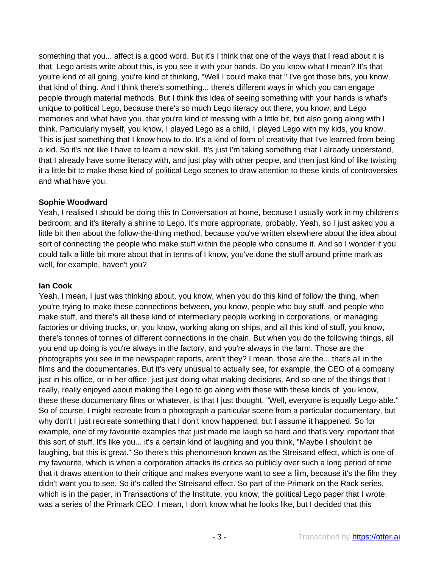something that you... affect is a good word. But it's I think that one of the ways that I read about it is that, Lego artists write about this, is you see it with your hands. Do you know what I mean? It's that you're kind of all going, you're kind of thinking, "Well I could make that." I've got those bits, you know, that kind of thing. And I think there's something... there's different ways in which you can engage people through material methods. But I think this idea of seeing something with your hands is what's unique to political Lego, because there's so much Lego literacy out there, you know, and Lego memories and what have you, that you're kind of messing with a little bit, but also going along with I think. Particularly myself, you know, I played Lego as a child, I played Lego with my kids, you know. This is just something that I know how to do. It's a kind of form of creativity that I've learned from being a kid. So it's not like I have to learn a new skill. It's just I'm taking something that I already understand, that I already have some literacy with, and just play with other people, and then just kind of like twisting it a little bit to make these kind of political Lego scenes to draw attention to these kinds of controversies and what have you.

## **Sophie Woodward**

Yeah, I realised I should be doing this In Conversation at home, because I usually work in my children's bedroom, and it's literally a shrine to Lego. It's more appropriate, probably. Yeah, so I just asked you a little bit then about the follow-the-thing method, because you've written elsewhere about the idea about sort of connecting the people who make stuff within the people who consume it. And so I wonder if you could talk a little bit more about that in terms of I know, you've done the stuff around prime mark as well, for example, haven't you?

## **Ian Cook**

Yeah, I mean, I just was thinking about, you know, when you do this kind of follow the thing, when you're trying to make these connections between, you know, people who buy stuff, and people who make stuff, and there's all these kind of intermediary people working in corporations, or managing factories or driving trucks, or, you know, working along on ships, and all this kind of stuff, you know, there's tonnes of tonnes of different connections in the chain. But when you do the following things, all you end up doing is you're always in the factory, and you're always in the farm. Those are the photographs you see in the newspaper reports, aren't they? I mean, those are the... that's all in the films and the documentaries. But it's very unusual to actually see, for example, the CEO of a company just in his office, or in her office, just just doing what making decisions. And so one of the things that I really, really enjoyed about making the Lego to go along with these with these kinds of, you know, these these documentary films or whatever, is that I just thought, "Well, everyone is equally Lego-able." So of course, I might recreate from a photograph a particular scene from a particular documentary, but why don't I just recreate something that I don't know happened, but I assume it happened. So for example, one of my favourite examples that just made me laugh so hard and that's very important that this sort of stuff. It's like you... it's a certain kind of laughing and you think, "Maybe I shouldn't be laughing, but this is great." So there's this phenomenon known as the Streisand effect, which is one of my favourite, which is when a corporation attacks its critics so publicly over such a long period of time that it draws attention to their critique and makes everyone want to see a film, because it's the film they didn't want you to see. So it's called the Streisand effect. So part of the Primark on the Rack series, which is in the paper, in Transactions of the Institute, you know, the political Lego paper that I wrote, was a series of the Primark CEO. I mean, I don't know what he looks like, but I decided that this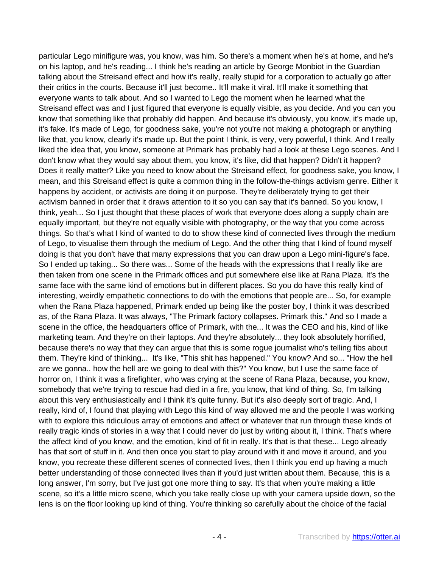particular Lego minifigure was, you know, was him. So there's a moment when he's at home, and he's on his laptop, and he's reading... I think he's reading an article by George Monbiot in the Guardian talking about the Streisand effect and how it's really, really stupid for a corporation to actually go after their critics in the courts. Because it'll just become.. It'll make it viral. It'll make it something that everyone wants to talk about. And so I wanted to Lego the moment when he learned what the Streisand effect was and I just figured that everyone is equally visible, as you decide. And you can you know that something like that probably did happen. And because it's obviously, you know, it's made up, it's fake. It's made of Lego, for goodness sake, you're not you're not making a photograph or anything like that, you know, clearly it's made up. But the point I think, is very, very powerful, I think. And I really liked the idea that, you know, someone at Primark has probably had a look at these Lego scenes. And I don't know what they would say about them, you know, it's like, did that happen? Didn't it happen? Does it really matter? Like you need to know about the Streisand effect, for goodness sake, you know, I mean, and this Streisand effect is quite a common thing in the follow-the-things activism genre. Either it happens by accident, or activists are doing it on purpose. They're deliberately trying to get their activism banned in order that it draws attention to it so you can say that it's banned. So you know, I think, yeah... So I just thought that these places of work that everyone does along a supply chain are equally important, but they're not equally visible with photography, or the way that you come across things. So that's what I kind of wanted to do to show these kind of connected lives through the medium of Lego, to visualise them through the medium of Lego. And the other thing that I kind of found myself doing is that you don't have that many expressions that you can draw upon a Lego mini-figure's face. So I ended up taking... So there was... Some of the heads with the expressions that I really like are then taken from one scene in the Primark offices and put somewhere else like at Rana Plaza. It's the same face with the same kind of emotions but in different places. So you do have this really kind of interesting, weirdly empathetic connections to do with the emotions that people are... So, for example when the Rana Plaza happened, Primark ended up being like the poster boy, I think it was described as, of the Rana Plaza. It was always, "The Primark factory collapses. Primark this." And so I made a scene in the office, the headquarters office of Primark, with the... It was the CEO and his, kind of like marketing team. And they're on their laptops. And they're absolutely... they look absolutely horrified, because there's no way that they can argue that this is some rogue journalist who's telling fibs about them. They're kind of thinking... It's like, "This shit has happened." You know? And so... "How the hell are we gonna.. how the hell are we going to deal with this?" You know, but I use the same face of horror on, I think it was a firefighter, who was crying at the scene of Rana Plaza, because, you know, somebody that we're trying to rescue had died in a fire, you know, that kind of thing. So, I'm talking about this very enthusiastically and I think it's quite funny. But it's also deeply sort of tragic. And, I really, kind of, I found that playing with Lego this kind of way allowed me and the people I was working with to explore this ridiculous array of emotions and affect or whatever that run through these kinds of really tragic kinds of stories in a way that I could never do just by writing about it, I think. That's where the affect kind of you know, and the emotion, kind of fit in really. It's that is that these... Lego already has that sort of stuff in it. And then once you start to play around with it and move it around, and you know, you recreate these different scenes of connected lives, then I think you end up having a much better understanding of those connected lives than if you'd just written about them. Because, this is a long answer, I'm sorry, but I've just got one more thing to say. It's that when you're making a little scene, so it's a little micro scene, which you take really close up with your camera upside down, so the lens is on the floor looking up kind of thing. You're thinking so carefully about the choice of the facial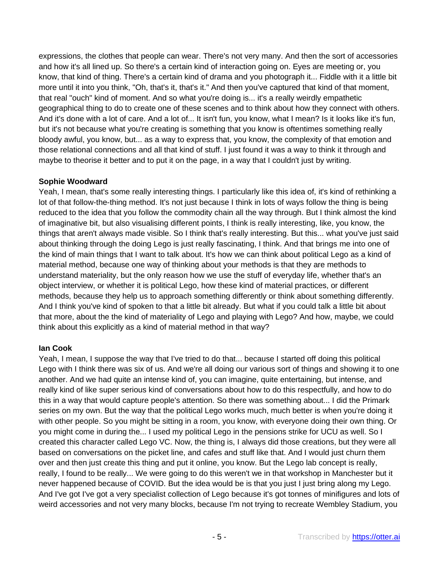expressions, the clothes that people can wear. There's not very many. And then the sort of accessories and how it's all lined up. So there's a certain kind of interaction going on. Eyes are meeting or, you know, that kind of thing. There's a certain kind of drama and you photograph it... Fiddle with it a little bit more until it into you think, "Oh, that's it, that's it." And then you've captured that kind of that moment, that real "ouch" kind of moment. And so what you're doing is... it's a really weirdly empathetic geographical thing to do to create one of these scenes and to think about how they connect with others. And it's done with a lot of care. And a lot of... It isn't fun, you know, what I mean? Is it looks like it's fun, but it's not because what you're creating is something that you know is oftentimes something really bloody awful, you know, but... as a way to express that, you know, the complexity of that emotion and those relational connections and all that kind of stuff. I just found it was a way to think it through and maybe to theorise it better and to put it on the page, in a way that I couldn't just by writing.

## **Sophie Woodward**

Yeah, I mean, that's some really interesting things. I particularly like this idea of, it's kind of rethinking a lot of that follow-the-thing method. It's not just because I think in lots of ways follow the thing is being reduced to the idea that you follow the commodity chain all the way through. But I think almost the kind of imaginative bit, but also visualising different points, I think is really interesting, like, you know, the things that aren't always made visible. So I think that's really interesting. But this... what you've just said about thinking through the doing Lego is just really fascinating, I think. And that brings me into one of the kind of main things that I want to talk about. It's how we can think about political Lego as a kind of material method, because one way of thinking about your methods is that they are methods to understand materiality, but the only reason how we use the stuff of everyday life, whether that's an object interview, or whether it is political Lego, how these kind of material practices, or different methods, because they help us to approach something differently or think about something differently. And I think you've kind of spoken to that a little bit already. But what if you could talk a little bit about that more, about the the kind of materiality of Lego and playing with Lego? And how, maybe, we could think about this explicitly as a kind of material method in that way?

# **Ian Cook**

Yeah, I mean, I suppose the way that I've tried to do that... because I started off doing this political Lego with I think there was six of us. And we're all doing our various sort of things and showing it to one another. And we had quite an intense kind of, you can imagine, quite entertaining, but intense, and really kind of like super serious kind of conversations about how to do this respectfully, and how to do this in a way that would capture people's attention. So there was something about... I did the Primark series on my own. But the way that the political Lego works much, much better is when you're doing it with other people. So you might be sitting in a room, you know, with everyone doing their own thing. Or you might come in during the... I used my political Lego in the pensions strike for UCU as well. So I created this character called Lego VC. Now, the thing is, I always did those creations, but they were all based on conversations on the picket line, and cafes and stuff like that. And I would just churn them over and then just create this thing and put it online, you know. But the Lego lab concept is really, really, I found to be really... We were going to do this weren't we in that workshop in Manchester but it never happened because of COVID. But the idea would be is that you just I just bring along my Lego. And I've got I've got a very specialist collection of Lego because it's got tonnes of minifigures and lots of weird accessories and not very many blocks, because I'm not trying to recreate Wembley Stadium, you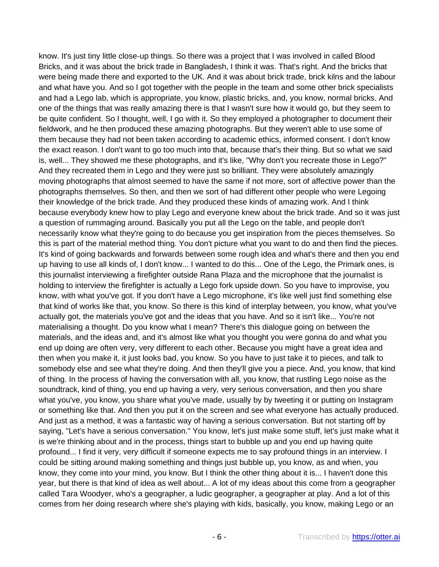know. It's just tiny little close-up things. So there was a project that I was involved in called Blood Bricks, and it was about the brick trade in Bangladesh, I think it was. That's right. And the bricks that were being made there and exported to the UK. And it was about brick trade, brick kilns and the labour and what have you. And so I got together with the people in the team and some other brick specialists and had a Lego lab, which is appropriate, you know, plastic bricks, and, you know, normal bricks. And one of the things that was really amazing there is that I wasn't sure how it would go, but they seem to be quite confident. So I thought, well, I go with it. So they employed a photographer to document their fieldwork, and he then produced these amazing photographs. But they weren't able to use some of them because they had not been taken according to academic ethics, informed consent. I don't know the exact reason. I don't want to go too much into that, because that's their thing. But so what we said is, well... They showed me these photographs, and it's like, "Why don't you recreate those in Lego?" And they recreated them in Lego and they were just so brilliant. They were absolutely amazingly moving photographs that almost seemed to have the same if not more, sort of affective power than the photographs themselves. So then, and then we sort of had different other people who were Legoing their knowledge of the brick trade. And they produced these kinds of amazing work. And I think because everybody knew how to play Lego and everyone knew about the brick trade. And so it was just a question of rummaging around. Basically you put all the Lego on the table, and people don't necessarily know what they're going to do because you get inspiration from the pieces themselves. So this is part of the material method thing. You don't picture what you want to do and then find the pieces. It's kind of going backwards and forwards between some rough idea and what's there and then you end up having to use all kinds of, I don't know... I wanted to do this... One of the Lego, the Primark ones, is this journalist interviewing a firefighter outside Rana Plaza and the microphone that the journalist is holding to interview the firefighter is actually a Lego fork upside down. So you have to improvise, you know, with what you've got. If you don't have a Lego microphone, it's like well just find something else that kind of works like that, you know. So there is this kind of interplay between, you know, what you've actually got, the materials you've got and the ideas that you have. And so it isn't like... You're not materialising a thought. Do you know what I mean? There's this dialogue going on between the materials, and the ideas and, and it's almost like what you thought you were gonna do and what you end up doing are often very, very different to each other. Because you might have a great idea and then when you make it, it just looks bad, you know. So you have to just take it to pieces, and talk to somebody else and see what they're doing. And then they'll give you a piece. And, you know, that kind of thing. In the process of having the conversation with all, you know, that rustling Lego noise as the soundtrack, kind of thing, you end up having a very, very serious conversation, and then you share what you've, you know, you share what you've made, usually by by tweeting it or putting on Instagram or something like that. And then you put it on the screen and see what everyone has actually produced. And just as a method, it was a fantastic way of having a serious conversation. But not starting off by saying, "Let's have a serious conversation." You know, let's just make some stuff, let's just make what it is we're thinking about and in the process, things start to bubble up and you end up having quite profound... I find it very, very difficult if someone expects me to say profound things in an interview. I could be sitting around making something and things just bubble up, you know, as and when, you know, they come into your mind, you know. But I think the other thing about it is... I haven't done this year, but there is that kind of idea as well about... A lot of my ideas about this come from a geographer called Tara Woodyer, who's a geographer, a ludic geographer, a geographer at play. And a lot of this comes from her doing research where she's playing with kids, basically, you know, making Lego or an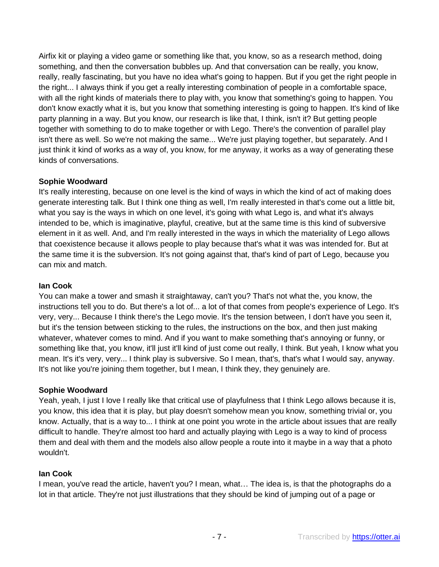Airfix kit or playing a video game or something like that, you know, so as a research method, doing something, and then the conversation bubbles up. And that conversation can be really, you know, really, really fascinating, but you have no idea what's going to happen. But if you get the right people in the right... I always think if you get a really interesting combination of people in a comfortable space, with all the right kinds of materials there to play with, you know that something's going to happen. You don't know exactly what it is, but you know that something interesting is going to happen. It's kind of like party planning in a way. But you know, our research is like that, I think, isn't it? But getting people together with something to do to make together or with Lego. There's the convention of parallel play isn't there as well. So we're not making the same... We're just playing together, but separately. And I just think it kind of works as a way of, you know, for me anyway, it works as a way of generating these kinds of conversations.

## **Sophie Woodward**

It's really interesting, because on one level is the kind of ways in which the kind of act of making does generate interesting talk. But I think one thing as well, I'm really interested in that's come out a little bit, what you say is the ways in which on one level, it's going with what Lego is, and what it's always intended to be, which is imaginative, playful, creative, but at the same time is this kind of subversive element in it as well. And, and I'm really interested in the ways in which the materiality of Lego allows that coexistence because it allows people to play because that's what it was was intended for. But at the same time it is the subversion. It's not going against that, that's kind of part of Lego, because you can mix and match.

## **Ian Cook**

You can make a tower and smash it straightaway, can't you? That's not what the, you know, the instructions tell you to do. But there's a lot of... a lot of that comes from people's experience of Lego. It's very, very... Because I think there's the Lego movie. It's the tension between, I don't have you seen it, but it's the tension between sticking to the rules, the instructions on the box, and then just making whatever, whatever comes to mind. And if you want to make something that's annoying or funny, or something like that, you know, it'll just it'll kind of just come out really, I think. But yeah, I know what you mean. It's it's very, very... I think play is subversive. So I mean, that's, that's what I would say, anyway. It's not like you're joining them together, but I mean, I think they, they genuinely are.

## **Sophie Woodward**

Yeah, yeah, I just I love I really like that critical use of playfulness that I think Lego allows because it is, you know, this idea that it is play, but play doesn't somehow mean you know, something trivial or, you know. Actually, that is a way to... I think at one point you wrote in the article about issues that are really difficult to handle. They're almost too hard and actually playing with Lego is a way to kind of process them and deal with them and the models also allow people a route into it maybe in a way that a photo wouldn't.

## **Ian Cook**

I mean, you've read the article, haven't you? I mean, what… The idea is, is that the photographs do a lot in that article. They're not just illustrations that they should be kind of jumping out of a page or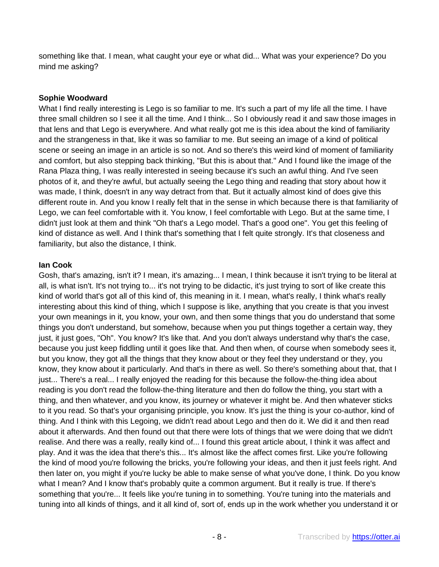something like that. I mean, what caught your eye or what did... What was your experience? Do you mind me asking?

## **Sophie Woodward**

What I find really interesting is Lego is so familiar to me. It's such a part of my life all the time. I have three small children so I see it all the time. And I think... So I obviously read it and saw those images in that lens and that Lego is everywhere. And what really got me is this idea about the kind of familiarity and the strangeness in that, like it was so familiar to me. But seeing an image of a kind of political scene or seeing an image in an article is so not. And so there's this weird kind of moment of familiarity and comfort, but also stepping back thinking, "But this is about that." And I found like the image of the Rana Plaza thing, I was really interested in seeing because it's such an awful thing. And I've seen photos of it, and they're awful, but actually seeing the Lego thing and reading that story about how it was made, I think, doesn't in any way detract from that. But it actually almost kind of does give this different route in. And you know I really felt that in the sense in which because there is that familiarity of Lego, we can feel comfortable with it. You know, I feel comfortable with Lego. But at the same time, I didn't just look at them and think "Oh that's a Lego model. That's a good one". You get this feeling of kind of distance as well. And I think that's something that I felt quite strongly. It's that closeness and familiarity, but also the distance, I think.

## **Ian Cook**

Gosh, that's amazing, isn't it? I mean, it's amazing... I mean, I think because it isn't trying to be literal at all, is what isn't. It's not trying to... it's not trying to be didactic, it's just trying to sort of like create this kind of world that's got all of this kind of, this meaning in it. I mean, what's really, I think what's really interesting about this kind of thing, which I suppose is like, anything that you create is that you invest your own meanings in it, you know, your own, and then some things that you do understand that some things you don't understand, but somehow, because when you put things together a certain way, they just, it just goes, "Oh". You know? It's like that. And you don't always understand why that's the case, because you just keep fiddling until it goes like that. And then when, of course when somebody sees it, but you know, they got all the things that they know about or they feel they understand or they, you know, they know about it particularly. And that's in there as well. So there's something about that, that I just... There's a real... I really enjoyed the reading for this because the follow-the-thing idea about reading is you don't read the follow-the-thing literature and then do follow the thing, you start with a thing, and then whatever, and you know, its journey or whatever it might be. And then whatever sticks to it you read. So that's your organising principle, you know. It's just the thing is your co-author, kind of thing. And I think with this Legoing, we didn't read about Lego and then do it. We did it and then read about it afterwards. And then found out that there were lots of things that we were doing that we didn't realise. And there was a really, really kind of... I found this great article about, I think it was affect and play. And it was the idea that there's this... It's almost like the affect comes first. Like you're following the kind of mood you're following the bricks, you're following your ideas, and then it just feels right. And then later on, you might if you're lucky be able to make sense of what you've done, I think. Do you know what I mean? And I know that's probably quite a common argument. But it really is true. If there's something that you're... It feels like you're tuning in to something. You're tuning into the materials and tuning into all kinds of things, and it all kind of, sort of, ends up in the work whether you understand it or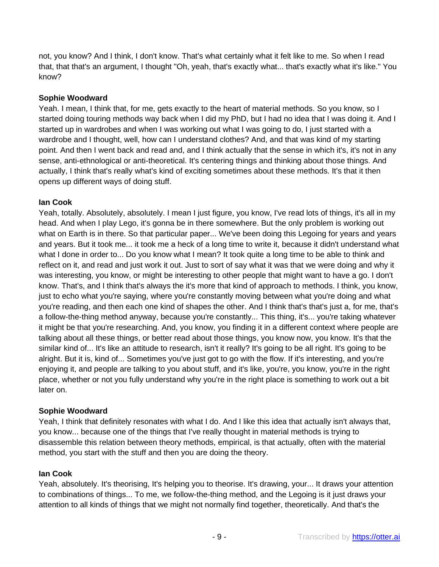not, you know? And I think, I don't know. That's what certainly what it felt like to me. So when I read that, that that's an argument, I thought "Oh, yeah, that's exactly what... that's exactly what it's like." You know?

## **Sophie Woodward**

Yeah. I mean, I think that, for me, gets exactly to the heart of material methods. So you know, so I started doing touring methods way back when I did my PhD, but I had no idea that I was doing it. And I started up in wardrobes and when I was working out what I was going to do, I just started with a wardrobe and I thought, well, how can I understand clothes? And, and that was kind of my starting point. And then I went back and read and, and I think actually that the sense in which it's, it's not in any sense, anti-ethnological or anti-theoretical. It's centering things and thinking about those things. And actually, I think that's really what's kind of exciting sometimes about these methods. It's that it then opens up different ways of doing stuff.

## **Ian Cook**

Yeah, totally. Absolutely, absolutely. I mean I just figure, you know, I've read lots of things, it's all in my head. And when I play Lego, it's gonna be in there somewhere. But the only problem is working out what on Earth is in there. So that particular paper... We've been doing this Legoing for years and years and years. But it took me... it took me a heck of a long time to write it, because it didn't understand what what I done in order to... Do you know what I mean? It took quite a long time to be able to think and reflect on it, and read and just work it out. Just to sort of say what it was that we were doing and why it was interesting, you know, or might be interesting to other people that might want to have a go. I don't know. That's, and I think that's always the it's more that kind of approach to methods. I think, you know, just to echo what you're saying, where you're constantly moving between what you're doing and what you're reading, and then each one kind of shapes the other. And I think that's that's just a, for me, that's a follow-the-thing method anyway, because you're constantly... This thing, it's... you're taking whatever it might be that you're researching. And, you know, you finding it in a different context where people are talking about all these things, or better read about those things, you know now, you know. It's that the similar kind of... It's like an attitude to research, isn't it really? It's going to be all right. It's going to be alright. But it is, kind of... Sometimes you've just got to go with the flow. If it's interesting, and you're enjoying it, and people are talking to you about stuff, and it's like, you're, you know, you're in the right place, whether or not you fully understand why you're in the right place is something to work out a bit later on.

## **Sophie Woodward**

Yeah, I think that definitely resonates with what I do. And I like this idea that actually isn't always that, you know... because one of the things that I've really thought in material methods is trying to disassemble this relation between theory methods, empirical, is that actually, often with the material method, you start with the stuff and then you are doing the theory.

## **Ian Cook**

Yeah, absolutely. It's theorising, It's helping you to theorise. It's drawing, your... It draws your attention to combinations of things... To me, we follow-the-thing method, and the Legoing is it just draws your attention to all kinds of things that we might not normally find together, theoretically. And that's the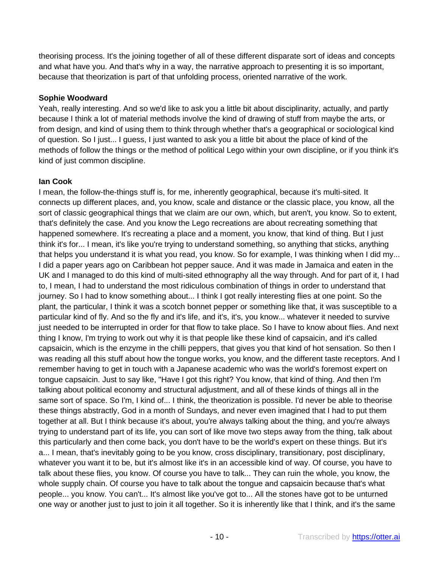theorising process. It's the joining together of all of these different disparate sort of ideas and concepts and what have you. And that's why in a way, the narrative approach to presenting it is so important, because that theorization is part of that unfolding process, oriented narrative of the work.

## **Sophie Woodward**

Yeah, really interesting. And so we'd like to ask you a little bit about disciplinarity, actually, and partly because I think a lot of material methods involve the kind of drawing of stuff from maybe the arts, or from design, and kind of using them to think through whether that's a geographical or sociological kind of question. So I just... I guess, I just wanted to ask you a little bit about the place of kind of the methods of follow the things or the method of political Lego within your own discipline, or if you think it's kind of just common discipline.

# **Ian Cook**

I mean, the follow-the-things stuff is, for me, inherently geographical, because it's multi-sited. It connects up different places, and, you know, scale and distance or the classic place, you know, all the sort of classic geographical things that we claim are our own, which, but aren't, you know. So to extent, that's definitely the case. And you know the Lego recreations are about recreating something that happened somewhere. It's recreating a place and a moment, you know, that kind of thing. But I just think it's for... I mean, it's like you're trying to understand something, so anything that sticks, anything that helps you understand it is what you read, you know. So for example, I was thinking when I did my... I did a paper years ago on Caribbean hot pepper sauce. And it was made in Jamaica and eaten in the UK and I managed to do this kind of multi-sited ethnography all the way through. And for part of it, I had to, I mean, I had to understand the most ridiculous combination of things in order to understand that journey. So I had to know something about... I think I got really interesting flies at one point. So the plant, the particular, I think it was a scotch bonnet pepper or something like that, it was susceptible to a particular kind of fly. And so the fly and it's life, and it's, it's, you know... whatever it needed to survive just needed to be interrupted in order for that flow to take place. So I have to know about flies. And next thing I know, I'm trying to work out why it is that people like these kind of capsaicin, and it's called capsaicin, which is the enzyme in the chilli peppers, that gives you that kind of hot sensation. So then I was reading all this stuff about how the tongue works, you know, and the different taste receptors. And I remember having to get in touch with a Japanese academic who was the world's foremost expert on tongue capsaicin. Just to say like, "Have I got this right? You know, that kind of thing. And then I'm talking about political economy and structural adjustment, and all of these kinds of things all in the same sort of space. So I'm, I kind of... I think, the theorization is possible. I'd never be able to theorise these things abstractly, God in a month of Sundays, and never even imagined that I had to put them together at all. But I think because it's about, you're always talking about the thing, and you're always trying to understand part of its life, you can sort of like move two steps away from the thing, talk about this particularly and then come back, you don't have to be the world's expert on these things. But it's a... I mean, that's inevitably going to be you know, cross disciplinary, transitionary, post disciplinary, whatever you want it to be, but it's almost like it's in an accessible kind of way. Of course, you have to talk about these flies, you know. Of course you have to talk... They can ruin the whole, you know, the whole supply chain. Of course you have to talk about the tongue and capsaicin because that's what people... you know. You can't... It's almost like you've got to... All the stones have got to be unturned one way or another just to just to join it all together. So it is inherently like that I think, and it's the same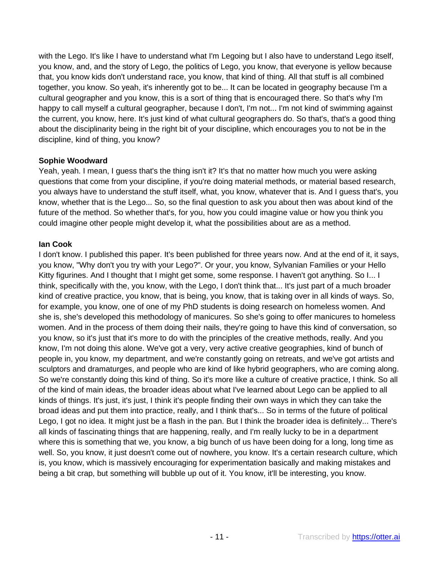with the Lego. It's like I have to understand what I'm Legoing but I also have to understand Lego itself, you know, and, and the story of Lego, the politics of Lego, you know, that everyone is yellow because that, you know kids don't understand race, you know, that kind of thing. All that stuff is all combined together, you know. So yeah, it's inherently got to be... It can be located in geography because I'm a cultural geographer and you know, this is a sort of thing that is encouraged there. So that's why I'm happy to call myself a cultural geographer, because I don't, I'm not... I'm not kind of swimming against the current, you know, here. It's just kind of what cultural geographers do. So that's, that's a good thing about the disciplinarity being in the right bit of your discipline, which encourages you to not be in the discipline, kind of thing, you know?

## **Sophie Woodward**

Yeah, yeah. I mean, I guess that's the thing isn't it? It's that no matter how much you were asking questions that come from your discipline, if you're doing material methods, or material based research, you always have to understand the stuff itself, what, you know, whatever that is. And I guess that's, you know, whether that is the Lego... So, so the final question to ask you about then was about kind of the future of the method. So whether that's, for you, how you could imagine value or how you think you could imagine other people might develop it, what the possibilities about are as a method.

## **Ian Cook**

I don't know. I published this paper. It's been published for three years now. And at the end of it, it says, you know, "Why don't you try with your Lego?". Or your, you know, Sylvanian Families or your Hello Kitty figurines. And I thought that I might get some, some response. I haven't got anything. So I... I think, specifically with the, you know, with the Lego, I don't think that... It's just part of a much broader kind of creative practice, you know, that is being, you know, that is taking over in all kinds of ways. So, for example, you know, one of one of my PhD students is doing research on homeless women. And she is, she's developed this methodology of manicures. So she's going to offer manicures to homeless women. And in the process of them doing their nails, they're going to have this kind of conversation, so you know, so it's just that it's more to do with the principles of the creative methods, really. And you know, I'm not doing this alone. We've got a very, very active creative geographies, kind of bunch of people in, you know, my department, and we're constantly going on retreats, and we've got artists and sculptors and dramaturges, and people who are kind of like hybrid geographers, who are coming along. So we're constantly doing this kind of thing. So it's more like a culture of creative practice, I think. So all of the kind of main ideas, the broader ideas about what I've learned about Lego can be applied to all kinds of things. It's just, it's just, I think it's people finding their own ways in which they can take the broad ideas and put them into practice, really, and I think that's... So in terms of the future of political Lego, I got no idea. It might just be a flash in the pan. But I think the broader idea is definitely... There's all kinds of fascinating things that are happening, really, and I'm really lucky to be in a department where this is something that we, you know, a big bunch of us have been doing for a long, long time as well. So, you know, it just doesn't come out of nowhere, you know. It's a certain research culture, which is, you know, which is massively encouraging for experimentation basically and making mistakes and being a bit crap, but something will bubble up out of it. You know, it'll be interesting, you know.